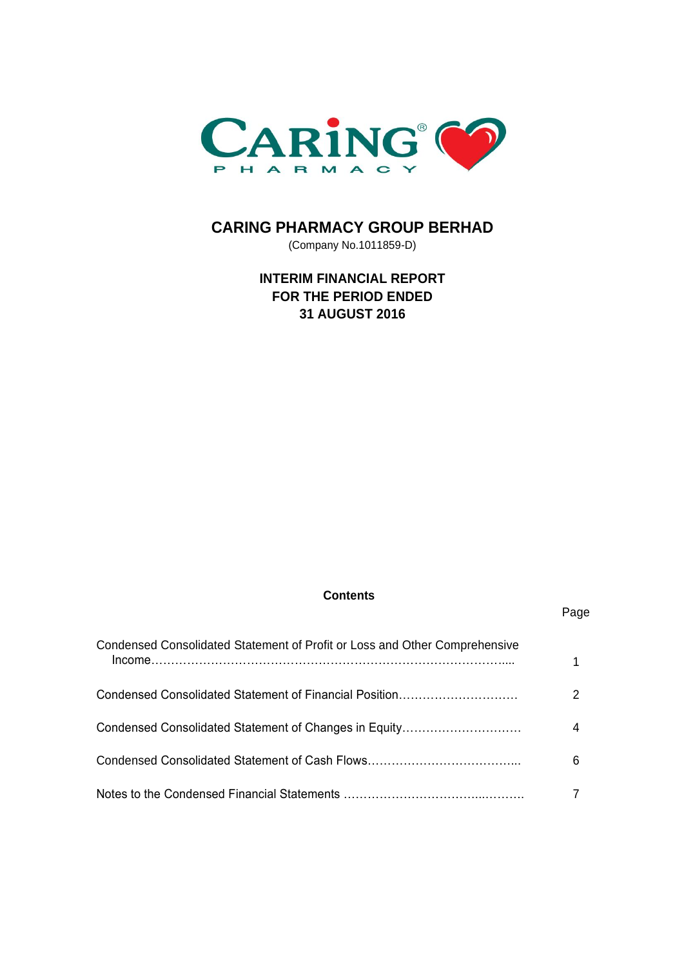

# **CARING PHARMACY GROUP BERHAD**

(Company No.1011859-D)

# **INTERIM FINANCIAL REPORT FOR THE PERIOD ENDED 31 AUGUST 2016**

# **Contents**

Page

| Condensed Consolidated Statement of Profit or Loss and Other Comprehensive |   |
|----------------------------------------------------------------------------|---|
| Condensed Consolidated Statement of Financial Position                     |   |
| Condensed Consolidated Statement of Changes in Equity                      |   |
|                                                                            | 6 |
|                                                                            |   |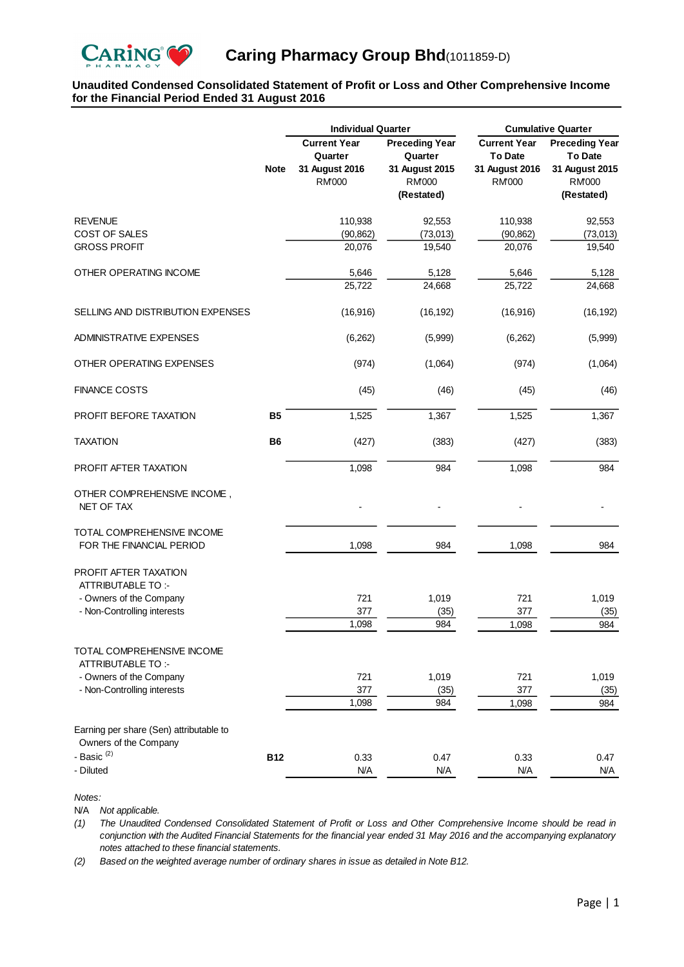

## **Unaudited Condensed Consolidated Statement of Profit or Loss and Other Comprehensive Income for the Financial Period Ended 31 August 2016**

|                                                                  |             | <b>Individual Quarter</b>                                         |                                                                                  |                                                                          | <b>Cumulative Quarter</b>                                                                |  |  |
|------------------------------------------------------------------|-------------|-------------------------------------------------------------------|----------------------------------------------------------------------------------|--------------------------------------------------------------------------|------------------------------------------------------------------------------------------|--|--|
|                                                                  | <b>Note</b> | <b>Current Year</b><br>Quarter<br>31 August 2016<br><b>RM'000</b> | <b>Preceding Year</b><br>Quarter<br>31 August 2015<br><b>RM000</b><br>(Restated) | <b>Current Year</b><br><b>To Date</b><br>31 August 2016<br><b>RM'000</b> | <b>Preceding Year</b><br><b>To Date</b><br>31 August 2015<br><b>RM'000</b><br>(Restated) |  |  |
| <b>REVENUE</b>                                                   |             | 110,938                                                           | 92,553                                                                           | 110,938                                                                  | 92,553                                                                                   |  |  |
| <b>COST OF SALES</b><br><b>GROSS PROFIT</b>                      |             | (90, 862)<br>20,076                                               | (73, 013)<br>19,540                                                              | (90, 862)<br>20,076                                                      | (73, 013)<br>19,540                                                                      |  |  |
| OTHER OPERATING INCOME                                           |             | 5,646                                                             | 5,128                                                                            | 5,646                                                                    | 5,128                                                                                    |  |  |
|                                                                  |             | 25,722                                                            | 24,668                                                                           | 25,722                                                                   | 24,668                                                                                   |  |  |
| SELLING AND DISTRIBUTION EXPENSES                                |             | (16, 916)                                                         | (16, 192)                                                                        | (16, 916)                                                                | (16, 192)                                                                                |  |  |
| <b>ADMINISTRATIVE EXPENSES</b>                                   |             | (6, 262)                                                          | (5,999)                                                                          | (6,262)                                                                  | (5,999)                                                                                  |  |  |
| OTHER OPERATING EXPENSES                                         |             | (974)                                                             | (1,064)                                                                          | (974)                                                                    | (1,064)                                                                                  |  |  |
| <b>FINANCE COSTS</b>                                             |             | (45)                                                              | (46)                                                                             | (45)                                                                     | (46)                                                                                     |  |  |
| PROFIT BEFORE TAXATION                                           | <b>B5</b>   | 1,525                                                             | 1,367                                                                            | 1,525                                                                    | 1,367                                                                                    |  |  |
| <b>TAXATION</b>                                                  | <b>B6</b>   | (427)                                                             | (383)                                                                            | (427)                                                                    | (383)                                                                                    |  |  |
| PROFIT AFTER TAXATION                                            |             | 1,098                                                             | 984                                                                              | 1,098                                                                    | 984                                                                                      |  |  |
| OTHER COMPREHENSIVE INCOME,<br>NET OF TAX                        |             |                                                                   |                                                                                  |                                                                          |                                                                                          |  |  |
| TOTAL COMPREHENSIVE INCOME<br>FOR THE FINANCIAL PERIOD           |             | 1,098                                                             | 984                                                                              | 1,098                                                                    | 984                                                                                      |  |  |
| PROFIT AFTER TAXATION<br>ATTRIBUTABLE TO:-                       |             |                                                                   |                                                                                  |                                                                          |                                                                                          |  |  |
| - Owners of the Company<br>- Non-Controlling interests           |             | 721<br>377                                                        | 1,019<br>(35)                                                                    | 721<br>377                                                               | 1,019<br>(35)                                                                            |  |  |
|                                                                  |             | 1,098                                                             | 984                                                                              | 1,098                                                                    | 984                                                                                      |  |  |
| TOTAL COMPREHENSIVE INCOME<br>ATTRIBUTABLE TO:-                  |             |                                                                   |                                                                                  |                                                                          |                                                                                          |  |  |
| - Owners of the Company                                          |             | 721                                                               | 1,019                                                                            | 721                                                                      | 1,019                                                                                    |  |  |
| - Non-Controlling interests                                      |             | 377<br>1,098                                                      | (35)<br>984                                                                      | 377<br>1,098                                                             | (35)<br>984                                                                              |  |  |
|                                                                  |             |                                                                   |                                                                                  |                                                                          |                                                                                          |  |  |
| Earning per share (Sen) attributable to<br>Owners of the Company |             |                                                                   |                                                                                  |                                                                          |                                                                                          |  |  |
| - Basic $(2)$                                                    | <b>B12</b>  | 0.33                                                              | 0.47                                                                             | 0.33                                                                     | 0.47                                                                                     |  |  |
| - Diluted                                                        |             | N/A                                                               | N/A                                                                              | N/A                                                                      | N/A                                                                                      |  |  |

*Notes:*

N/A *Not applicable.*

*(1)* The Unaudited Condensed Consolidated Statement of Profit or Loss and Other Comprehensive Income should be read in conjunction with the Audited Financial Statements for the financial year ended 31 May 2016 and the accompanying explanatory *notes attached to these financial statements.*

*(2) Based on the weighted average number of ordinary shares in issue as detailed in Note B12.*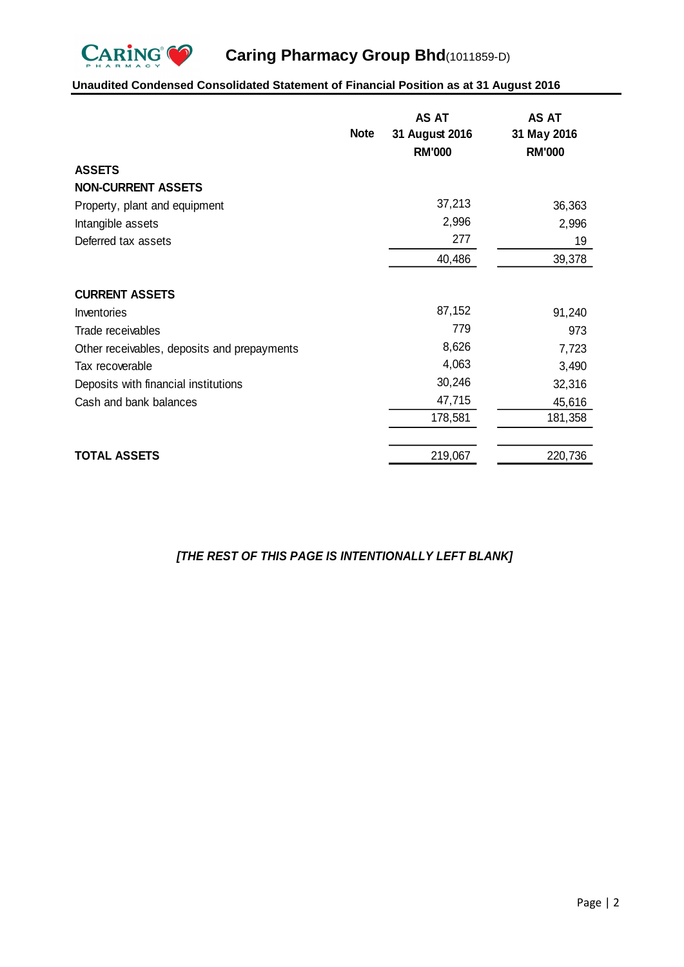

# **Unaudited Condensed Consolidated Statement of Financial Position as at 31 August 2016**

|                                             | <b>Note</b> | AS AT<br>31 August 2016<br><b>RM'000</b> | <b>AS AT</b><br>31 May 2016<br><b>RM'000</b> |
|---------------------------------------------|-------------|------------------------------------------|----------------------------------------------|
| <b>ASSETS</b>                               |             |                                          |                                              |
| <b>NON-CURRENT ASSETS</b>                   |             |                                          |                                              |
| Property, plant and equipment               |             | 37,213                                   | 36,363                                       |
| Intangible assets                           |             | 2,996                                    | 2,996                                        |
| Deferred tax assets                         |             | 277                                      | 19                                           |
|                                             |             | 40,486                                   | 39,378                                       |
| <b>CURRENT ASSETS</b>                       |             |                                          |                                              |
| Inventories                                 |             | 87,152                                   | 91,240                                       |
| Trade receivables                           |             | 779                                      | 973                                          |
| Other receivables, deposits and prepayments |             | 8,626                                    | 7,723                                        |
| Tax recoverable                             |             | 4,063                                    | 3,490                                        |
| Deposits with financial institutions        |             | 30,246                                   | 32,316                                       |
| Cash and bank balances                      |             | 47,715                                   | 45,616                                       |
|                                             |             | 178,581                                  | 181,358                                      |
| <b>TOTAL ASSETS</b>                         |             | 219,067                                  | 220,736                                      |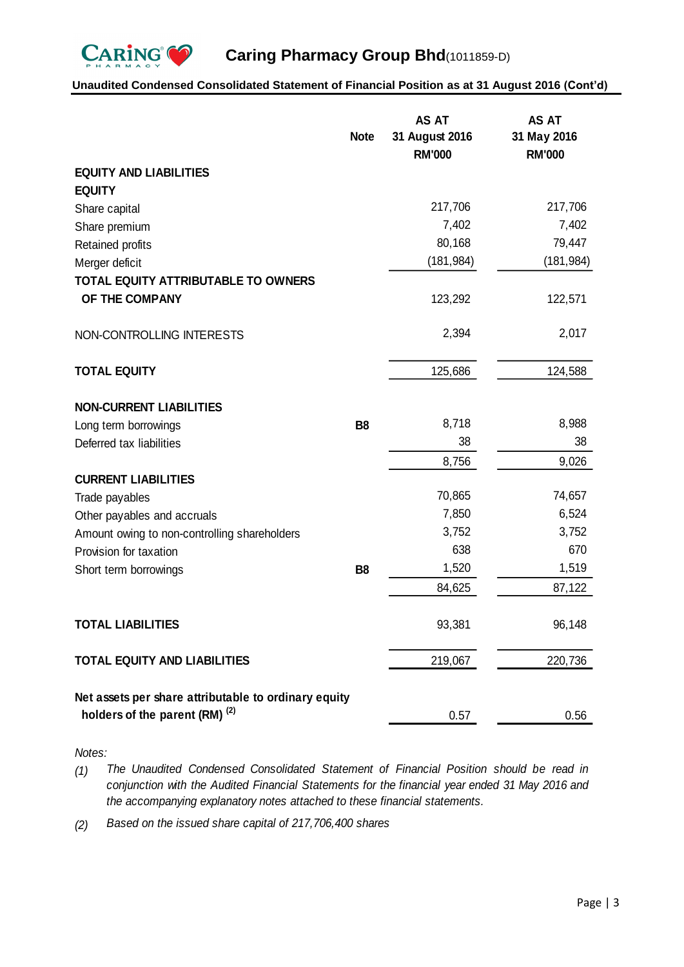

# **Unaudited Condensed Consolidated Statement of Financial Position as at 31 August 2016 (Cont'd)**

|                                                                                          | <b>Note</b> | <b>AS AT</b><br>31 August 2016<br><b>RM'000</b> | <b>AS AT</b><br>31 May 2016<br><b>RM'000</b> |
|------------------------------------------------------------------------------------------|-------------|-------------------------------------------------|----------------------------------------------|
| <b>EQUITY AND LIABILITIES</b>                                                            |             |                                                 |                                              |
| <b>EQUITY</b>                                                                            |             |                                                 |                                              |
| Share capital                                                                            |             | 217,706                                         | 217,706                                      |
| Share premium                                                                            |             | 7,402                                           | 7,402                                        |
| Retained profits                                                                         |             | 80,168                                          | 79,447                                       |
| Merger deficit                                                                           |             | (181, 984)                                      | (181, 984)                                   |
| <b>TOTAL EQUITY ATTRIBUTABLE TO OWNERS</b>                                               |             |                                                 |                                              |
| OF THE COMPANY                                                                           |             | 123,292                                         | 122,571                                      |
| NON-CONTROLLING INTERESTS                                                                |             | 2,394                                           | 2,017                                        |
| <b>TOTAL EQUITY</b>                                                                      |             | 125,686                                         | 124,588                                      |
| <b>NON-CURRENT LIABILITIES</b>                                                           |             |                                                 |                                              |
| Long term borrowings                                                                     | <b>B8</b>   | 8,718                                           | 8,988                                        |
| Deferred tax liabilities                                                                 |             | 38                                              | 38                                           |
|                                                                                          |             | 8,756                                           | 9,026                                        |
| <b>CURRENT LIABILITIES</b>                                                               |             |                                                 |                                              |
| Trade payables                                                                           |             | 70,865                                          | 74,657                                       |
| Other payables and accruals                                                              |             | 7,850                                           | 6,524                                        |
| Amount owing to non-controlling shareholders                                             |             | 3,752                                           | 3,752                                        |
| Provision for taxation                                                                   |             | 638                                             | 670                                          |
| Short term borrowings                                                                    | <b>B8</b>   | 1,520                                           | 1,519                                        |
|                                                                                          |             | 84,625                                          | 87,122                                       |
| <b>TOTAL LIABILITIES</b>                                                                 |             | 93,381                                          | 96,148                                       |
| <b>TOTAL EQUITY AND LIABILITIES</b>                                                      |             | 219,067                                         | 220,736                                      |
| Net assets per share attributable to ordinary equity<br>holders of the parent (RM) $(2)$ |             | 0.57                                            | 0.56                                         |

*Notes:*

*(1) The Unaudited Condensed Consolidated Statement of Financial Position should b e read in conjunction with the Audited Financial Statements for the financial year ended 31 May 2016 and the accompanying explanatory notes attached to these financial statements.*

*(2) Based on the issued share capital of 217,706,400 shares*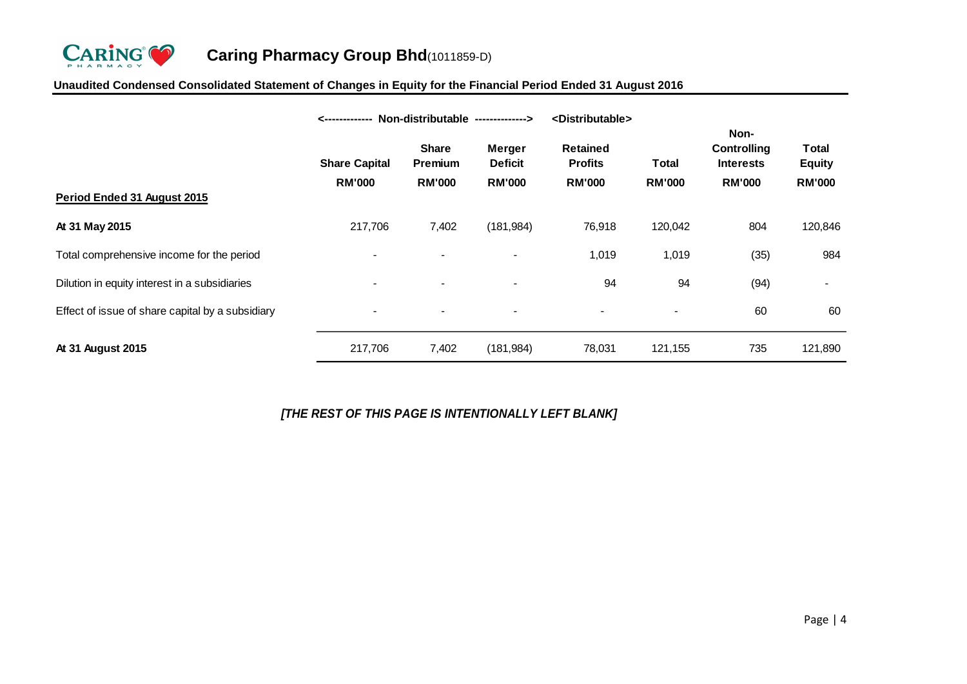

# **Unaudited Condensed Consolidated Statement of Changes in Equity for the Financial Period Ended 31 August 2016**

|                                                  | Non-distributable --------------><br><------------- |                                                 | <distributable></distributable>           |                                                    |                               |                                                          |                                                |
|--------------------------------------------------|-----------------------------------------------------|-------------------------------------------------|-------------------------------------------|----------------------------------------------------|-------------------------------|----------------------------------------------------------|------------------------------------------------|
| Period Ended 31 August 2015                      | <b>Share Capital</b><br><b>RM'000</b>               | <b>Share</b><br><b>Premium</b><br><b>RM'000</b> | Merger<br><b>Deficit</b><br><b>RM'000</b> | <b>Retained</b><br><b>Profits</b><br><b>RM'000</b> | <b>Total</b><br><b>RM'000</b> | Non-<br>Controlling<br><b>Interests</b><br><b>RM'000</b> | <b>Total</b><br><b>Equity</b><br><b>RM'000</b> |
|                                                  |                                                     |                                                 |                                           |                                                    |                               |                                                          |                                                |
| At 31 May 2015                                   | 217,706                                             | 7,402                                           | (181, 984)                                | 76,918                                             | 120,042                       | 804                                                      | 120,846                                        |
| Total comprehensive income for the period        | $\blacksquare$                                      |                                                 | $\overline{\phantom{a}}$                  | 1,019                                              | 1,019                         | (35)                                                     | 984                                            |
| Dilution in equity interest in a subsidiaries    | $\overline{\phantom{a}}$                            |                                                 | $\overline{\phantom{a}}$                  | 94                                                 | 94                            | (94)                                                     |                                                |
| Effect of issue of share capital by a subsidiary | $\overline{\phantom{0}}$                            |                                                 |                                           |                                                    | $\blacksquare$                | 60                                                       | 60                                             |
| At 31 August 2015                                | 217,706                                             | 7,402                                           | (181, 984)                                | 78,031                                             | 121,155                       | 735                                                      | 121,890                                        |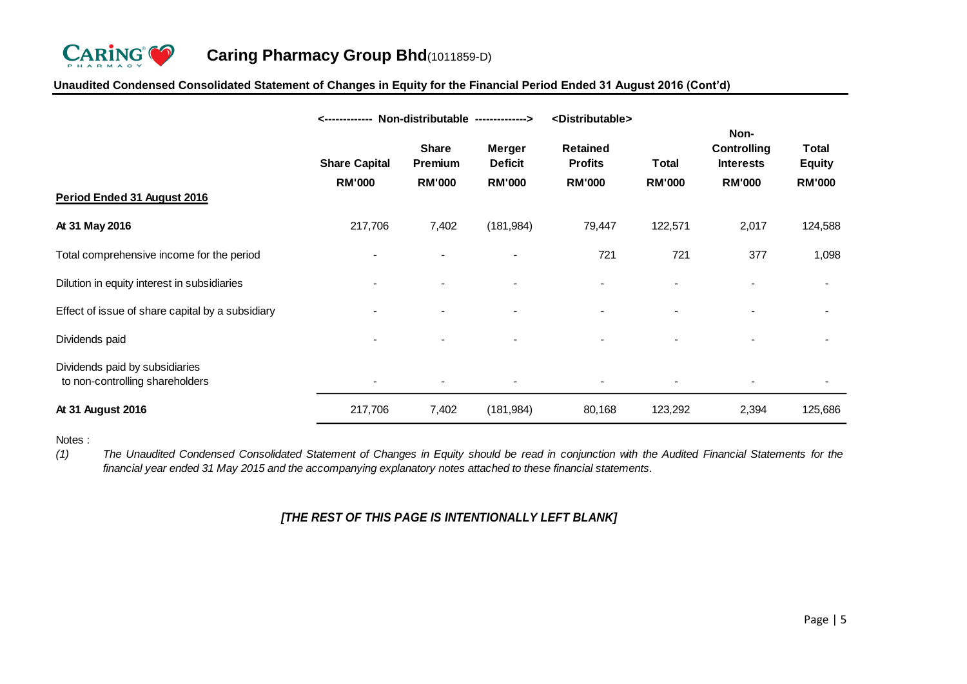

# **Unaudited Condensed Consolidated Statement of Changes in Equity for the Financial Period Ended 31 August 2016 (Cont'd)**

|                                                                   | Non-distributable --------------><br>-------------- |                                                 | <distributable></distributable>                  |                                                    |                        |                                                                 |                                                |
|-------------------------------------------------------------------|-----------------------------------------------------|-------------------------------------------------|--------------------------------------------------|----------------------------------------------------|------------------------|-----------------------------------------------------------------|------------------------------------------------|
|                                                                   | <b>Share Capital</b><br><b>RM'000</b>               | <b>Share</b><br><b>Premium</b><br><b>RM'000</b> | <b>Merger</b><br><b>Deficit</b><br><b>RM'000</b> | <b>Retained</b><br><b>Profits</b><br><b>RM'000</b> | Total<br><b>RM'000</b> | Non-<br><b>Controlling</b><br><b>Interests</b><br><b>RM'000</b> | <b>Total</b><br><b>Equity</b><br><b>RM'000</b> |
| Period Ended 31 August 2016                                       |                                                     |                                                 |                                                  |                                                    |                        |                                                                 |                                                |
| At 31 May 2016                                                    | 217,706                                             | 7,402                                           | (181, 984)                                       | 79,447                                             | 122,571                | 2,017                                                           | 124,588                                        |
| Total comprehensive income for the period                         | $\blacksquare$                                      |                                                 |                                                  | 721                                                | 721                    | 377                                                             | 1,098                                          |
| Dilution in equity interest in subsidiaries                       |                                                     |                                                 | $\blacksquare$                                   | -                                                  | $\blacksquare$         |                                                                 | $\blacksquare$                                 |
| Effect of issue of share capital by a subsidiary                  |                                                     |                                                 |                                                  |                                                    |                        |                                                                 |                                                |
| Dividends paid                                                    |                                                     |                                                 |                                                  |                                                    |                        |                                                                 |                                                |
| Dividends paid by subsidiaries<br>to non-controlling shareholders |                                                     |                                                 |                                                  |                                                    |                        |                                                                 |                                                |
| At 31 August 2016                                                 | 217,706                                             | 7,402                                           | (181, 984)                                       | 80,168                                             | 123,292                | 2,394                                                           | 125,686                                        |

Notes :

*(1)* The Unaudited Condensed Consolidated Statement of Changes in Equity should be read in conjunction with the Audited Financial Statements for the *financial year ended 31 May 2015 and the accompanying explanatory notes attached to these financial statements.*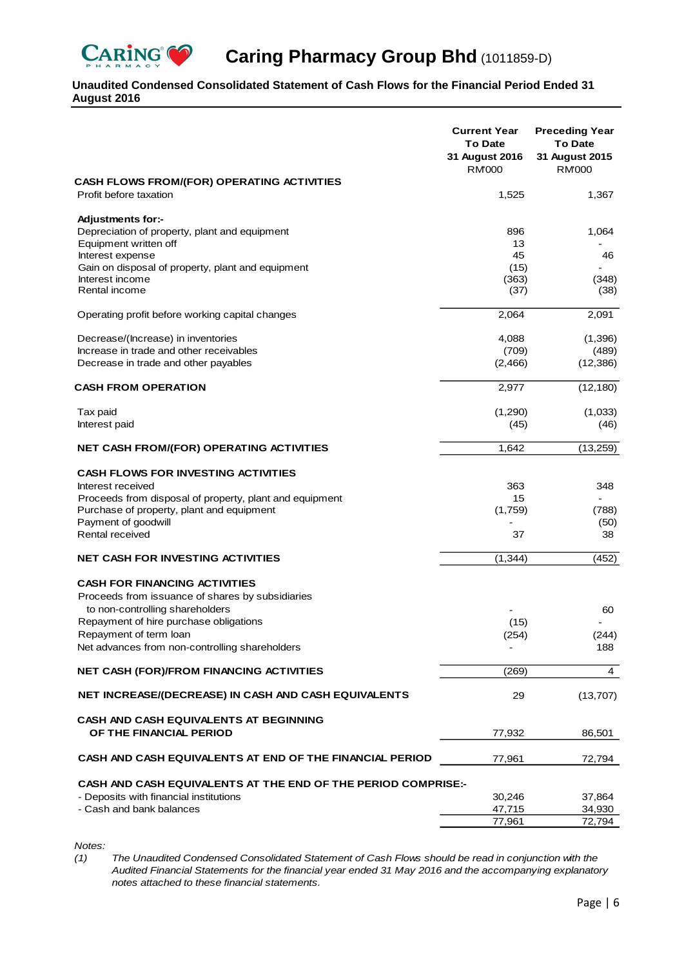

# **Caring Pharmacy Group Bhd** (1011859-D)

# **Unaudited Condensed Consolidated Statement of Cash Flows for the Financial Period Ended 31 August 2016**

|                                                                                                    | <b>Current Year</b><br><b>To Date</b><br>31 August 2016<br><b>RM'000</b> | <b>Preceding Year</b><br><b>To Date</b><br>31 August 2015<br><b>RM'000</b> |
|----------------------------------------------------------------------------------------------------|--------------------------------------------------------------------------|----------------------------------------------------------------------------|
| <b>CASH FLOWS FROM/(FOR) OPERATING ACTIVITIES</b><br>Profit before taxation                        | 1,525                                                                    | 1,367                                                                      |
|                                                                                                    |                                                                          |                                                                            |
| <b>Adjustments for:-</b><br>Depreciation of property, plant and equipment<br>Equipment written off | 896<br>13                                                                | 1,064                                                                      |
| Interest expense                                                                                   | 45                                                                       | 46                                                                         |
| Gain on disposal of property, plant and equipment                                                  | (15)                                                                     |                                                                            |
| Interest income<br>Rental income                                                                   | (363)<br>(37)                                                            | (348)<br>(38)                                                              |
| Operating profit before working capital changes                                                    | 2,064                                                                    | 2,091                                                                      |
| Decrease/(Increase) in inventories                                                                 | 4,088                                                                    | (1,396)                                                                    |
| Increase in trade and other receivables                                                            | (709)                                                                    | (489)                                                                      |
| Decrease in trade and other payables                                                               | (2,466)                                                                  | (12, 386)                                                                  |
| <b>CASH FROM OPERATION</b>                                                                         | 2,977                                                                    | (12, 180)                                                                  |
| Tax paid                                                                                           | (1,290)                                                                  | (1,033)                                                                    |
| Interest paid                                                                                      | (45)                                                                     | (46)                                                                       |
| <b>NET CASH FROM/(FOR) OPERATING ACTIVITIES</b>                                                    | 1,642                                                                    | (13,259)                                                                   |
| <b>CASH FLOWS FOR INVESTING ACTIVITIES</b>                                                         |                                                                          |                                                                            |
| Interest received                                                                                  | 363                                                                      | 348                                                                        |
| Proceeds from disposal of property, plant and equipment                                            | 15                                                                       |                                                                            |
| Purchase of property, plant and equipment                                                          | (1,759)                                                                  | (788)                                                                      |
| Payment of goodwill<br>Rental received                                                             | 37                                                                       | (50)<br>38                                                                 |
| <b>NET CASH FOR INVESTING ACTIVITIES</b>                                                           | (1, 344)                                                                 | (452)                                                                      |
|                                                                                                    |                                                                          |                                                                            |
| <b>CASH FOR FINANCING ACTIVITIES</b><br>Proceeds from issuance of shares by subsidiaries           |                                                                          |                                                                            |
| to non-controlling shareholders                                                                    |                                                                          | 60                                                                         |
| Repayment of hire purchase obligations                                                             | (15)                                                                     |                                                                            |
| Repayment of term loan                                                                             | (254)                                                                    | (244)                                                                      |
| Net advances from non-controlling shareholders                                                     |                                                                          | 188                                                                        |
| <b>NET CASH (FOR)/FROM FINANCING ACTIVITIES</b>                                                    | (269)                                                                    | 4                                                                          |
| NET INCREASE/(DECREASE) IN CASH AND CASH EQUIVALENTS                                               | 29                                                                       | (13,707)                                                                   |
| <b>CASH AND CASH EQUIVALENTS AT BEGINNING</b><br>OF THE FINANCIAL PERIOD                           | 77,932                                                                   | 86,501                                                                     |
| CASH AND CASH EQUIVALENTS AT END OF THE FINANCIAL PERIOD                                           | 77,961                                                                   | 72,794                                                                     |
| <b>CASH AND CASH EQUIVALENTS AT THE END OF THE PERIOD COMPRISE:-</b>                               |                                                                          |                                                                            |
| - Deposits with financial institutions                                                             | 30,246                                                                   | 37,864                                                                     |
| - Cash and bank balances                                                                           | 47,715                                                                   | 34,930                                                                     |
|                                                                                                    | 77,961                                                                   | 72,794                                                                     |

*Notes:*

*(1) The Unaudited Condensed Consolidated Statement of Cash Flows should be read in conjunction with the Audited Financial Statements for the financial year ended 31 May 2016 and the accompanying explanatory notes attached to these financial statements.*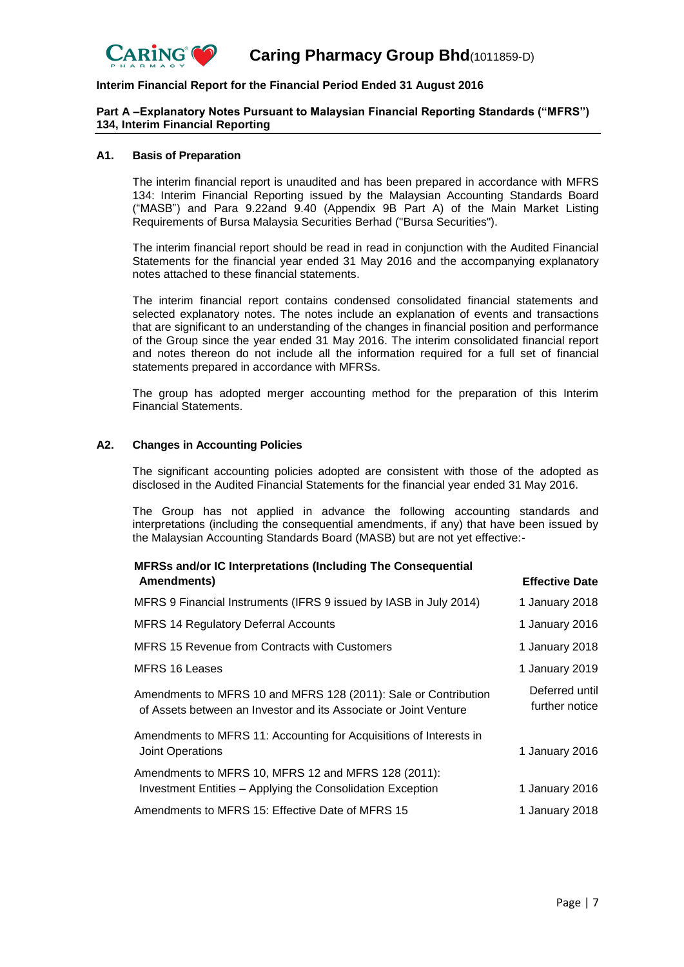

# **Part A –Explanatory Notes Pursuant to Malaysian Financial Reporting Standards ("MFRS") 134, Interim Financial Reporting**

#### **A1. Basis of Preparation**

The interim financial report is unaudited and has been prepared in accordance with MFRS 134: Interim Financial Reporting issued by the Malaysian Accounting Standards Board ("MASB") and Para 9.22and 9.40 (Appendix 9B Part A) of the Main Market Listing Requirements of Bursa Malaysia Securities Berhad ("Bursa Securities").

The interim financial report should be read in read in conjunction with the Audited Financial Statements for the financial year ended 31 May 2016 and the accompanying explanatory notes attached to these financial statements.

The interim financial report contains condensed consolidated financial statements and selected explanatory notes. The notes include an explanation of events and transactions that are significant to an understanding of the changes in financial position and performance of the Group since the year ended 31 May 2016. The interim consolidated financial report and notes thereon do not include all the information required for a full set of financial statements prepared in accordance with MFRSs.

The group has adopted merger accounting method for the preparation of this Interim Financial Statements.

#### **A2. Changes in Accounting Policies**

The significant accounting policies adopted are consistent with those of the adopted as disclosed in the Audited Financial Statements for the financial year ended 31 May 2016.

The Group has not applied in advance the following accounting standards and interpretations (including the consequential amendments, if any) that have been issued by the Malaysian Accounting Standards Board (MASB) but are not yet effective:-

| MFRSs and/or IC Interpretations (Including The Consequential<br>Amendments)                                                         | <b>Effective Date</b>            |
|-------------------------------------------------------------------------------------------------------------------------------------|----------------------------------|
| MFRS 9 Financial Instruments (IFRS 9 issued by IASB in July 2014)                                                                   | 1 January 2018                   |
| <b>MFRS 14 Regulatory Deferral Accounts</b>                                                                                         | 1 January 2016                   |
| <b>MFRS 15 Revenue from Contracts with Customers</b>                                                                                | 1 January 2018                   |
| <b>MFRS 16 Leases</b>                                                                                                               | 1 January 2019                   |
| Amendments to MFRS 10 and MFRS 128 (2011): Sale or Contribution<br>of Assets between an Investor and its Associate or Joint Venture | Deferred until<br>further notice |
| Amendments to MFRS 11: Accounting for Acquisitions of Interests in<br><b>Joint Operations</b>                                       | 1 January 2016                   |
| Amendments to MFRS 10, MFRS 12 and MFRS 128 (2011):<br>Investment Entities - Applying the Consolidation Exception                   | 1 January 2016                   |
| Amendments to MFRS 15: Effective Date of MFRS 15                                                                                    | 1 January 2018                   |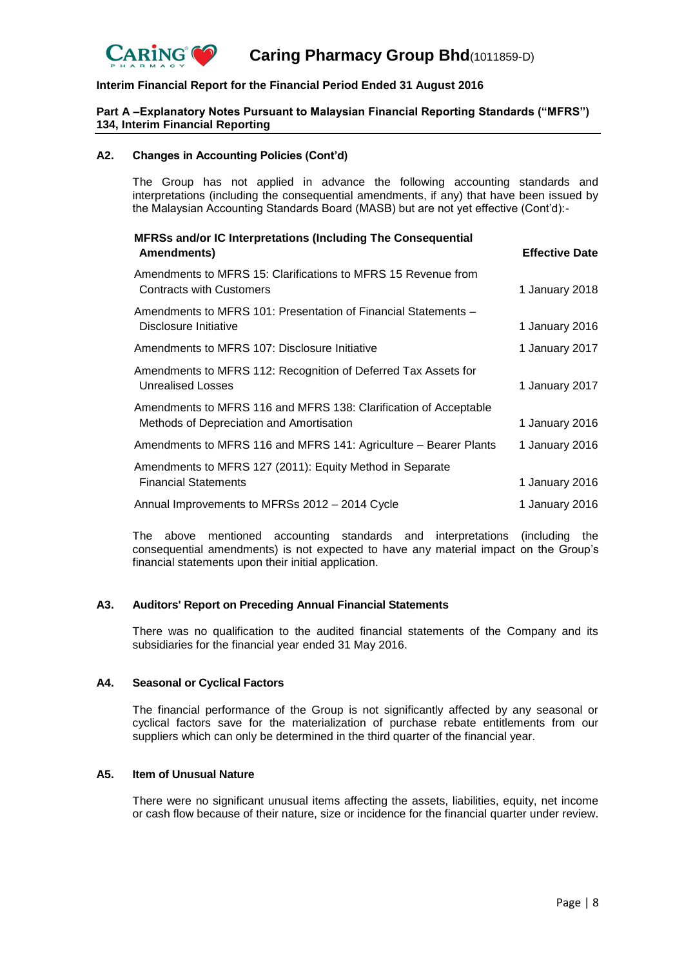

## **Part A –Explanatory Notes Pursuant to Malaysian Financial Reporting Standards ("MFRS") 134, Interim Financial Reporting**

#### **A2. Changes in Accounting Policies (Cont'd)**

The Group has not applied in advance the following accounting standards and interpretations (including the consequential amendments, if any) that have been issued by the Malaysian Accounting Standards Board (MASB) but are not yet effective (Cont'd):-

| <b>MFRSs and/or IC Interpretations (Including The Consequential</b><br>Amendments)                           | <b>Effective Date</b> |
|--------------------------------------------------------------------------------------------------------------|-----------------------|
| Amendments to MFRS 15: Clarifications to MFRS 15 Revenue from<br><b>Contracts with Customers</b>             | 1 January 2018        |
| Amendments to MFRS 101: Presentation of Financial Statements -<br>Disclosure Initiative                      | 1 January 2016        |
| Amendments to MFRS 107: Disclosure Initiative                                                                | 1 January 2017        |
| Amendments to MFRS 112: Recognition of Deferred Tax Assets for<br><b>Unrealised Losses</b>                   | 1 January 2017        |
| Amendments to MFRS 116 and MFRS 138: Clarification of Acceptable<br>Methods of Depreciation and Amortisation | 1 January 2016        |
| Amendments to MFRS 116 and MFRS 141: Agriculture - Bearer Plants                                             | 1 January 2016        |
| Amendments to MFRS 127 (2011): Equity Method in Separate<br><b>Financial Statements</b>                      | 1 January 2016        |
| Annual Improvements to MFRSs 2012 - 2014 Cycle                                                               | 1 January 2016        |

The above mentioned accounting standards and interpretations (including the consequential amendments) is not expected to have any material impact on the Group's financial statements upon their initial application.

#### **A3. Auditors' Report on Preceding Annual Financial Statements**

There was no qualification to the audited financial statements of the Company and its subsidiaries for the financial year ended 31 May 2016.

#### **A4. Seasonal or Cyclical Factors**

The financial performance of the Group is not significantly affected by any seasonal or cyclical factors save for the materialization of purchase rebate entitlements from our suppliers which can only be determined in the third quarter of the financial year.

#### **A5. Item of Unusual Nature**

There were no significant unusual items affecting the assets, liabilities, equity, net income or cash flow because of their nature, size or incidence for the financial quarter under review.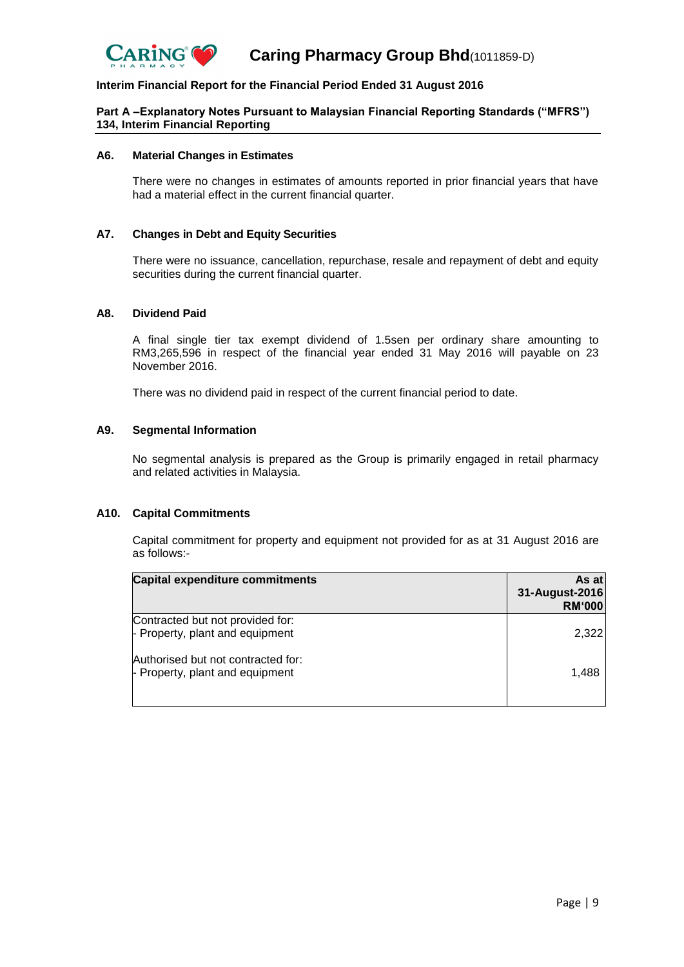

# **Part A –Explanatory Notes Pursuant to Malaysian Financial Reporting Standards ("MFRS") 134, Interim Financial Reporting**

#### **A6. Material Changes in Estimates**

There were no changes in estimates of amounts reported in prior financial years that have had a material effect in the current financial quarter.

#### **A7. Changes in Debt and Equity Securities**

There were no issuance, cancellation, repurchase, resale and repayment of debt and equity securities during the current financial quarter.

#### **A8. Dividend Paid**

A final single tier tax exempt dividend of 1.5sen per ordinary share amounting to RM3,265,596 in respect of the financial year ended 31 May 2016 will payable on 23 November 2016.

There was no dividend paid in respect of the current financial period to date.

#### **A9. Segmental Information**

No segmental analysis is prepared as the Group is primarily engaged in retail pharmacy and related activities in Malaysia.

#### **A10. Capital Commitments**

Capital commitment for property and equipment not provided for as at 31 August 2016 are as follows:-

| <b>Capital expenditure commitments</b>                                | As atl<br>31-August-2016<br><b>RM'000</b> |
|-----------------------------------------------------------------------|-------------------------------------------|
| Contracted but not provided for:<br>- Property, plant and equipment   | 2,322                                     |
| Authorised but not contracted for:<br>- Property, plant and equipment | 1.488                                     |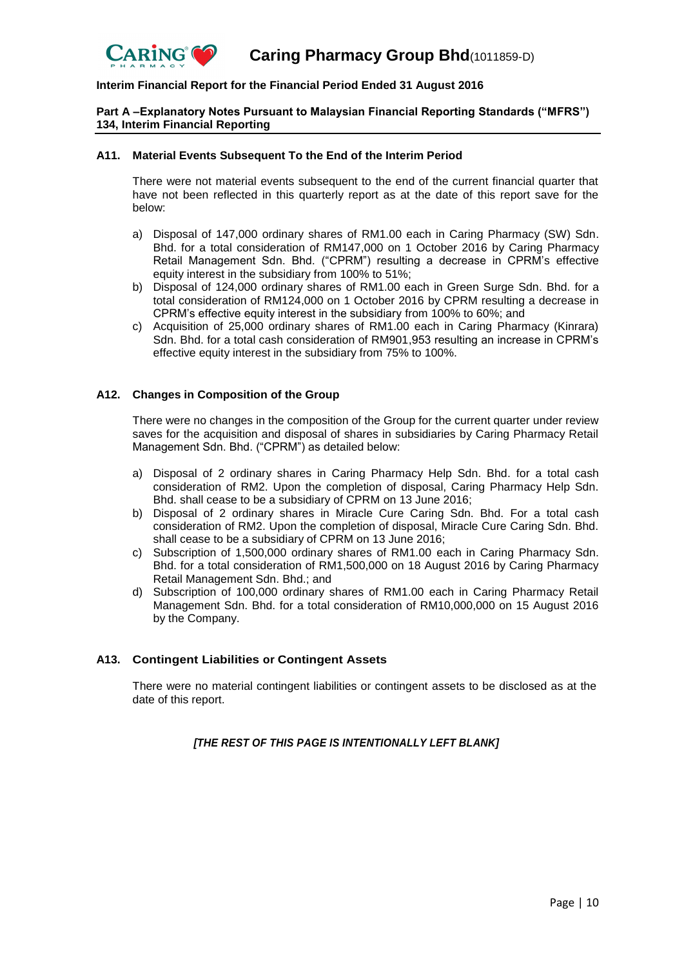

### **Part A –Explanatory Notes Pursuant to Malaysian Financial Reporting Standards ("MFRS") 134, Interim Financial Reporting**

#### **A11. Material Events Subsequent To the End of the Interim Period**

There were not material events subsequent to the end of the current financial quarter that have not been reflected in this quarterly report as at the date of this report save for the below:

- a) Disposal of 147,000 ordinary shares of RM1.00 each in Caring Pharmacy (SW) Sdn. Bhd. for a total consideration of RM147,000 on 1 October 2016 by Caring Pharmacy Retail Management Sdn. Bhd. ("CPRM") resulting a decrease in CPRM's effective equity interest in the subsidiary from 100% to 51%;
- b) Disposal of 124,000 ordinary shares of RM1.00 each in Green Surge Sdn. Bhd. for a total consideration of RM124,000 on 1 October 2016 by CPRM resulting a decrease in CPRM's effective equity interest in the subsidiary from 100% to 60%; and
- c) Acquisition of 25,000 ordinary shares of RM1.00 each in Caring Pharmacy (Kinrara) Sdn. Bhd. for a total cash consideration of RM901,953 resulting an increase in CPRM's effective equity interest in the subsidiary from 75% to 100%.

#### **A12. Changes in Composition of the Group**

There were no changes in the composition of the Group for the current quarter under review saves for the acquisition and disposal of shares in subsidiaries by Caring Pharmacy Retail Management Sdn. Bhd. ("CPRM") as detailed below:

- a) Disposal of 2 ordinary shares in Caring Pharmacy Help Sdn. Bhd. for a total cash consideration of RM2. Upon the completion of disposal, Caring Pharmacy Help Sdn. Bhd. shall cease to be a subsidiary of CPRM on 13 June 2016;
- b) Disposal of 2 ordinary shares in Miracle Cure Caring Sdn. Bhd. For a total cash consideration of RM2. Upon the completion of disposal, Miracle Cure Caring Sdn. Bhd. shall cease to be a subsidiary of CPRM on 13 June 2016;
- c) Subscription of 1,500,000 ordinary shares of RM1.00 each in Caring Pharmacy Sdn. Bhd. for a total consideration of RM1,500,000 on 18 August 2016 by Caring Pharmacy Retail Management Sdn. Bhd.; and
- d) Subscription of 100,000 ordinary shares of RM1.00 each in Caring Pharmacy Retail Management Sdn. Bhd. for a total consideration of RM10,000,000 on 15 August 2016 by the Company.

#### **A13. Contingent Liabilities or Contingent Assets**

There were no material contingent liabilities or contingent assets to be disclosed as at the date of this report.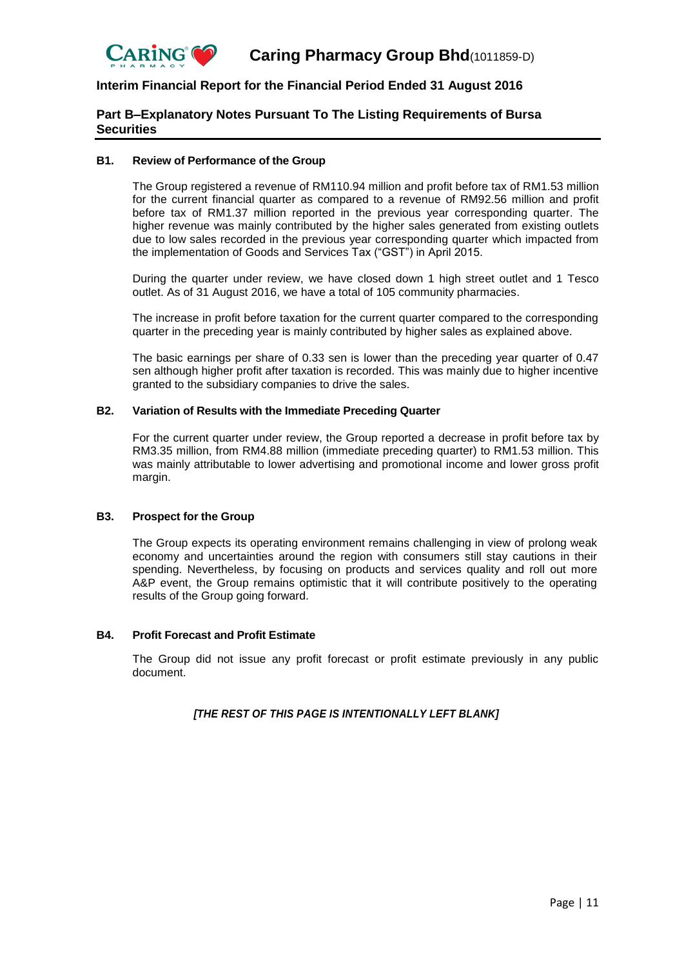

# **Part B–Explanatory Notes Pursuant To The Listing Requirements of Bursa Securities**

#### **B1. Review of Performance of the Group**

The Group registered a revenue of RM110.94 million and profit before tax of RM1.53 million for the current financial quarter as compared to a revenue of RM92.56 million and profit before tax of RM1.37 million reported in the previous year corresponding quarter. The higher revenue was mainly contributed by the higher sales generated from existing outlets due to low sales recorded in the previous year corresponding quarter which impacted from the implementation of Goods and Services Tax ("GST") in April 2015.

During the quarter under review, we have closed down 1 high street outlet and 1 Tesco outlet. As of 31 August 2016, we have a total of 105 community pharmacies.

The increase in profit before taxation for the current quarter compared to the corresponding quarter in the preceding year is mainly contributed by higher sales as explained above.

The basic earnings per share of 0.33 sen is lower than the preceding year quarter of 0.47 sen although higher profit after taxation is recorded. This was mainly due to higher incentive granted to the subsidiary companies to drive the sales.

#### **B2. Variation of Results with the Immediate Preceding Quarter**

For the current quarter under review, the Group reported a decrease in profit before tax by RM3.35 million, from RM4.88 million (immediate preceding quarter) to RM1.53 million. This was mainly attributable to lower advertising and promotional income and lower gross profit margin.

## **B3. Prospect for the Group**

The Group expects its operating environment remains challenging in view of prolong weak economy and uncertainties around the region with consumers still stay cautions in their spending. Nevertheless, by focusing on products and services quality and roll out more A&P event, the Group remains optimistic that it will contribute positively to the operating results of the Group going forward.

#### **B4. Profit Forecast and Profit Estimate**

The Group did not issue any profit forecast or profit estimate previously in any public document.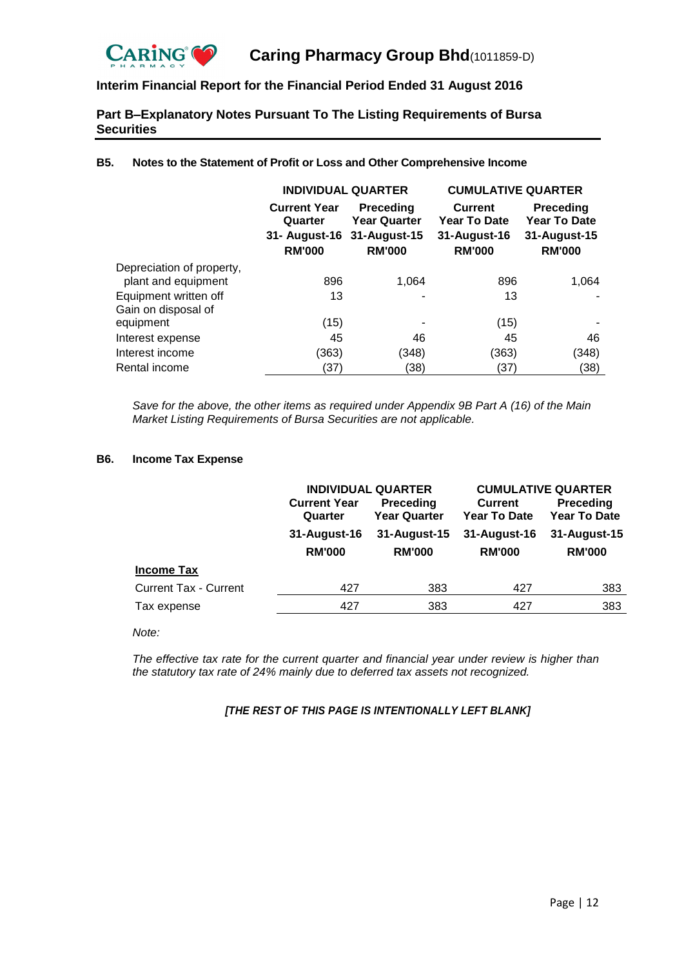

# **Part B–Explanatory Notes Pursuant To The Listing Requirements of Bursa Securities**

|                                                  | <b>INDIVIDUAL QUARTER</b>                                                     |                                                          | <b>CUMULATIVE QUARTER</b>                                              |                                                                          |  |
|--------------------------------------------------|-------------------------------------------------------------------------------|----------------------------------------------------------|------------------------------------------------------------------------|--------------------------------------------------------------------------|--|
|                                                  | <b>Current Year</b><br>Quarter<br>31- August-16 31-August-15<br><b>RM'000</b> | <b>Preceding</b><br><b>Year Quarter</b><br><b>RM'000</b> | <b>Current</b><br><b>Year To Date</b><br>31-August-16<br><b>RM'000</b> | <b>Preceding</b><br><b>Year To Date</b><br>31-August-15<br><b>RM'000</b> |  |
| Depreciation of property,<br>plant and equipment | 896                                                                           | 1.064                                                    | 896                                                                    | 1,064                                                                    |  |
| Equipment written off<br>Gain on disposal of     | 13                                                                            |                                                          | 13                                                                     |                                                                          |  |
| equipment                                        | (15)                                                                          |                                                          | (15)                                                                   |                                                                          |  |
| Interest expense                                 | 45                                                                            | 46                                                       | 45                                                                     | 46                                                                       |  |
| Interest income                                  | (363)                                                                         | (348)                                                    | (363)                                                                  | (348)                                                                    |  |
| Rental income                                    | (37)                                                                          | (38)                                                     | (37)                                                                   | (38)                                                                     |  |

## **B5. Notes to the Statement of Profit or Loss and Other Comprehensive Income**

*Save for the above, the other items as required under Appendix 9B Part A (16) of the Main Market Listing Requirements of Bursa Securities are not applicable.*

#### **B6. Income Tax Expense**

|                              |                                | <b>INDIVIDUAL QUARTER</b>        | <b>CUMULATIVE QUARTER</b>             |                                  |  |
|------------------------------|--------------------------------|----------------------------------|---------------------------------------|----------------------------------|--|
|                              | <b>Current Year</b><br>Quarter | Preceding<br><b>Year Quarter</b> | <b>Current</b><br><b>Year To Date</b> | Preceding<br><b>Year To Date</b> |  |
|                              | 31-August-16                   | 31-August-15                     | 31-August-16                          | 31-August-15                     |  |
|                              | <b>RM'000</b>                  | <b>RM'000</b>                    | <b>RM'000</b>                         | <b>RM'000</b>                    |  |
| <b>Income Tax</b>            |                                |                                  |                                       |                                  |  |
| <b>Current Tax - Current</b> | 427                            | 383                              | 427                                   | 383                              |  |
| Tax expense                  | 427                            | 383                              | 427                                   | 383                              |  |

*Note:*

*The effective tax rate for the current quarter and financial year under review is higher than the statutory tax rate of 24% mainly due to deferred tax assets not recognized.*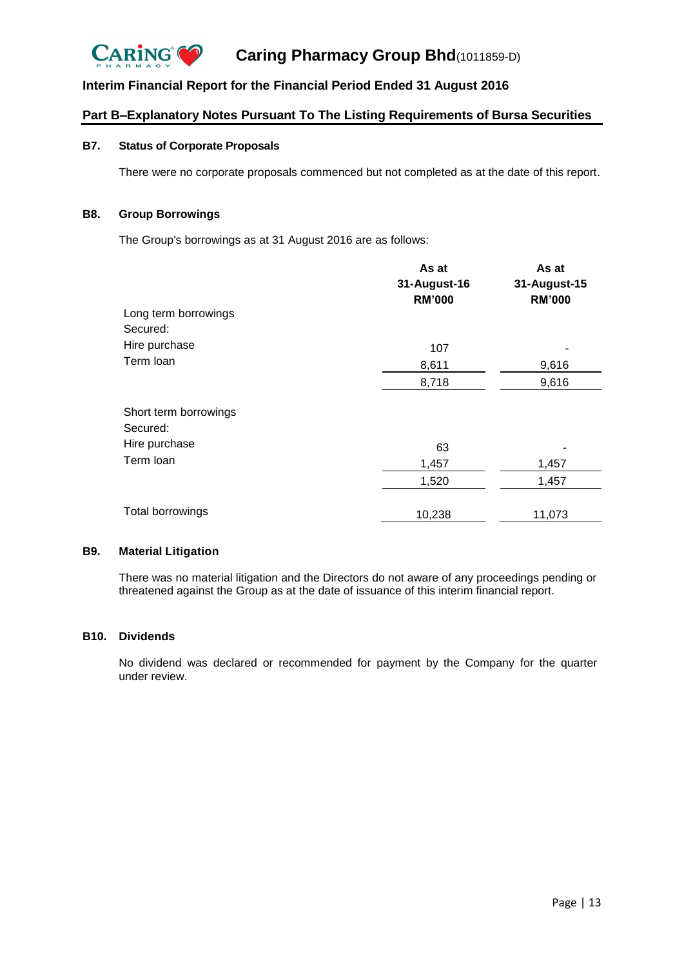

# **Part B–Explanatory Notes Pursuant To The Listing Requirements of Bursa Securities**

## **B7. Status of Corporate Proposals**

There were no corporate proposals commenced but not completed as at the date of this report.

# **B8. Group Borrowings**

The Group's borrowings as at 31 August 2016 are as follows:

|                       | As at         | As at         |  |
|-----------------------|---------------|---------------|--|
|                       | 31-August-16  | 31-August-15  |  |
|                       | <b>RM'000</b> | <b>RM'000</b> |  |
| Long term borrowings  |               |               |  |
| Secured:              |               |               |  |
| Hire purchase         | 107           |               |  |
| Term Ioan             | 8,611         | 9,616         |  |
|                       | 8,718         | 9,616         |  |
| Short term borrowings |               |               |  |
| Secured:              |               |               |  |
| Hire purchase         | 63            |               |  |
| Term Ioan             | 1,457         | 1,457         |  |
|                       | 1,520         | 1,457         |  |
| Total borrowings      |               |               |  |
|                       | 10,238        | 11,073        |  |

#### **B9. Material Litigation**

There was no material litigation and the Directors do not aware of any proceedings pending or threatened against the Group as at the date of issuance of this interim financial report.

#### **B10. Dividends**

No dividend was declared or recommended for payment by the Company for the quarter under review.